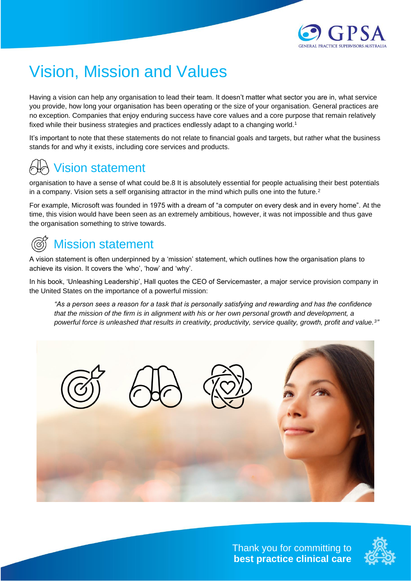

# Vision, Mission and Values

Having a vision can help any organisation to lead their team. It doesn't matter what sector you are in, what service you provide, how long your organisation has been operating or the size of your organisation. General practices are no exception. Companies that enjoy enduring success have core values and a core purpose that remain relatively fixed while their business strategies and practices endlessly adapt to a changing world.<sup>1</sup>

It's important to note that these statements do not relate to financial goals and targets, but rather what the business stands for and why it exists, including core services and products.

## Vision statement

organisation to have a sense of what could be.8 It is absolutely essential for people actualising their best potentials in a company. Vision sets a self organising attractor in the mind which pulls one into the future.<sup>2</sup>

For example, Microsoft was founded in 1975 with a dream of "a computer on every desk and in every home". At the time, this vision would have been seen as an extremely ambitious, however, it was not impossible and thus gave the organisation something to strive towards.

## Mission statement

A vision statement is often underpinned by a 'mission' statement, which outlines how the organisation plans to achieve its vision. It covers the 'who', 'how' and 'why'.

In his book, 'Unleashing Leadership', Hall quotes the CEO of Servicemaster, a major service provision company in the United States on the importance of a powerful mission:

*"As a person sees a reason for a task that is personally satisfying and rewarding and has the confidence that the mission of the firm is in alignment with his or her own personal growth and development, a powerful force is unleashed that results in creativity, productivity, service quality, growth, profit and value.<sup>3</sup> "*



Thank you for committing to **best practice clinical care**

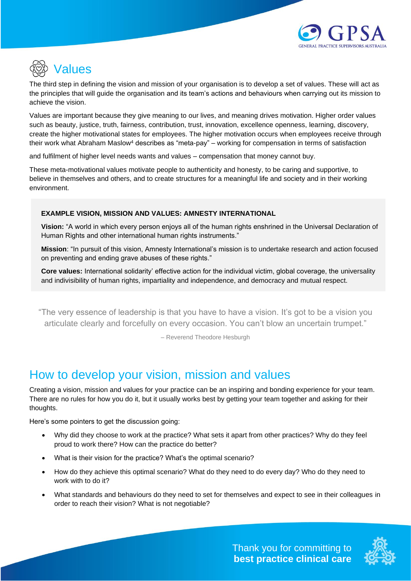

# Values

The third step in defining the vision and mission of your organisation is to develop a set of values. These will act as the principles that will guide the organisation and its team's actions and behaviours when carrying out its mission to achieve the vision.

Values are important because they give meaning to our lives, and meaning drives motivation. Higher order values such as beauty, justice, truth, fairness, contribution, trust, innovation, excellence openness, learning, discovery, create the higher motivational states for employees. The higher motivation occurs when employees receive through their work what Abraham Maslow<sup>4</sup> describes as "meta-pay" – working for compensation in terms of satisfaction

and fulfilment of higher level needs wants and values – compensation that money cannot buy.

These meta-motivational values motivate people to authenticity and honesty, to be caring and supportive, to believe in themselves and others, and to create structures for a meaningful life and society and in their working environment.

#### **EXAMPLE VISION, MISSION AND VALUES: AMNESTY INTERNATIONAL**

**Vision:** "A world in which every person enjoys all of the human rights enshrined in the Universal Declaration of Human Rights and other international human rights instruments."

**Mission**: "In pursuit of this vision, Amnesty International's mission is to undertake research and action focused on preventing and ending grave abuses of these rights."

**Core values:** International solidarity' effective action for the individual victim, global coverage, the universality and indivisibility of human rights, impartiality and independence, and democracy and mutual respect.

"The very essence of leadership is that you have to have a vision. It's got to be a vision you articulate clearly and forcefully on every occasion. You can't blow an uncertain trumpet."

– Reverend Theodore Hesburgh

### How to develop your vision, mission and values

Creating a vision, mission and values for your practice can be an inspiring and bonding experience for your team. There are no rules for how you do it, but it usually works best by getting your team together and asking for their thoughts.

Here's some pointers to get the discussion going:

- Why did they choose to work at the practice? What sets it apart from other practices? Why do they feel proud to work there? How can the practice do better?
- What is their vision for the practice? What's the optimal scenario?
- How do they achieve this optimal scenario? What do they need to do every day? Who do they need to work with to do it?
- What standards and behaviours do they need to set for themselves and expect to see in their colleagues in order to reach their vision? What is not negotiable?

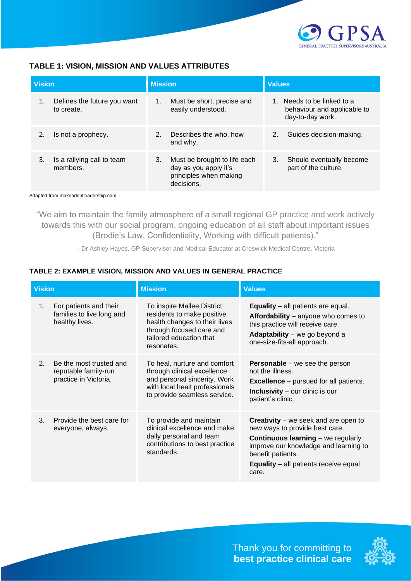

### **TABLE 1: VISION, MISSION AND VALUES ATTRIBUTES**

| <b>Vision</b> |                                           | <b>Mission</b> |                                                                                               | Values |                                                                               |
|---------------|-------------------------------------------|----------------|-----------------------------------------------------------------------------------------------|--------|-------------------------------------------------------------------------------|
|               | Defines the future you want<br>to create. | 1.             | Must be short, precise and<br>easily understood.                                              |        | 1. Needs to be linked to a<br>behaviour and applicable to<br>day-to-day work. |
| 2.            | Is not a prophecy.                        | 2.             | Describes the who, how<br>and why.                                                            | 2.     | Guides decision-making.                                                       |
| 3.            | Is a rallying call to team<br>members.    | 3.             | Must be brought to life each<br>day as you apply it's<br>principles when making<br>decisions. | 3.     | Should eventually become<br>part of the culture.                              |

Adapted from makeadentleadership.com

"We aim to maintain the family atmosphere of a small regional GP practice and work actively towards this with our social program, ongoing education of all staff about important issues (Brodie's Law, Confidentiality, Working with difficult patients)."

– Dr Ashley Hayes, GP Supervisor and Medical Educator at Creswick Medical Centre, Victoria

| <b>Vision</b> |                                                                          | <b>Mission</b>                                                                                                                                                 | <b>Values</b>                                                                                                                                                                                                                                     |  |  |
|---------------|--------------------------------------------------------------------------|----------------------------------------------------------------------------------------------------------------------------------------------------------------|---------------------------------------------------------------------------------------------------------------------------------------------------------------------------------------------------------------------------------------------------|--|--|
| 1.            | For patients and their<br>families to live long and<br>healthy lives.    | To inspire Mallee District<br>residents to make positive<br>health changes to their lives<br>through focused care and<br>tailored education that<br>resonates. | <b>Equality</b> – all patients are equal.<br>Affordability – anyone who comes to<br>this practice will receive care.<br>Adaptability - we go beyond a<br>one-size-fits-all approach.                                                              |  |  |
| 2.            | Be the most trusted and<br>reputable family-run<br>practice in Victoria. | To heal, nurture and comfort<br>through clinical excellence<br>and personal sincerity. Work<br>with local healt professionals<br>to provide seamless service.  | <b>Personable</b> – we see the person<br>not the illness.<br><b>Excellence</b> – pursued for all patients.<br><b>Inclusivity</b> $-$ our clinic is our<br>patient's clinic.                                                                       |  |  |
| 3.            | Provide the best care for<br>everyone, always.                           | To provide and maintain<br>clinical excellence and make<br>daily personal and team<br>contributions to best practice<br>standards.                             | <b>Creativity</b> – we seek and are open to<br>new ways to provide best care.<br><b>Continuous learning</b> – we regularly<br>improve our knowledge and learning to<br>benefit patients.<br><b>Equality</b> – all patients receive equal<br>care. |  |  |

#### **TABLE 2: EXAMPLE VISION, MISSION AND VALUES IN GENERAL PRACTICE**